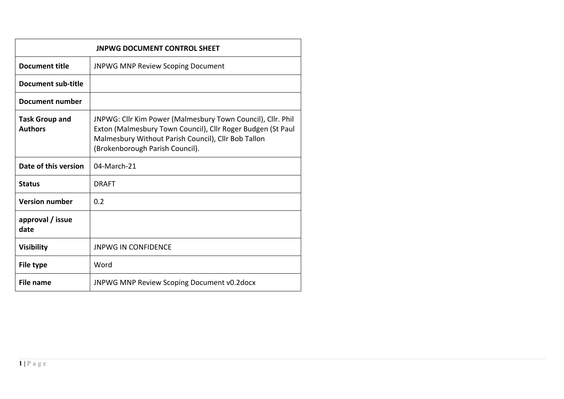| <b>JNPWG DOCUMENT CONTROL SHEET</b>     |                                                                                                                                                                                                                      |  |  |  |  |  |
|-----------------------------------------|----------------------------------------------------------------------------------------------------------------------------------------------------------------------------------------------------------------------|--|--|--|--|--|
| Document title                          | <b>JNPWG MNP Review Scoping Document</b>                                                                                                                                                                             |  |  |  |  |  |
| Document sub-title                      |                                                                                                                                                                                                                      |  |  |  |  |  |
| Document number                         |                                                                                                                                                                                                                      |  |  |  |  |  |
| <b>Task Group and</b><br><b>Authors</b> | JNPWG: Cllr Kim Power (Malmesbury Town Council), Cllr. Phil<br>Exton (Malmesbury Town Council), Cllr Roger Budgen (St Paul<br>Malmesbury Without Parish Council), Cllr Bob Tallon<br>(Brokenborough Parish Council). |  |  |  |  |  |
| Date of this version                    | 04-March-21                                                                                                                                                                                                          |  |  |  |  |  |
| <b>Status</b>                           | <b>DRAFT</b>                                                                                                                                                                                                         |  |  |  |  |  |
| <b>Version number</b>                   | 0.2                                                                                                                                                                                                                  |  |  |  |  |  |
| approval / issue<br>date                |                                                                                                                                                                                                                      |  |  |  |  |  |
| <b>Visibility</b>                       | <b>JNPWG IN CONFIDENCE</b>                                                                                                                                                                                           |  |  |  |  |  |
| File type                               | Word                                                                                                                                                                                                                 |  |  |  |  |  |
| File name                               | JNPWG MNP Review Scoping Document v0.2docx                                                                                                                                                                           |  |  |  |  |  |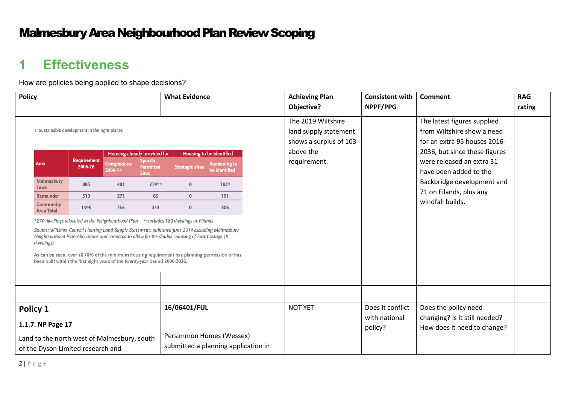#### Malmesbury Area Neighbourhood Plan Review Scoping

# **1 Effectiveness**

How are policies being applied to shape decisions?

| <b>Policy</b> |                                                                                                                                                                                                                                                                                                                                                                                                                                                                                                      |                                          |                                                           | <b>What Evidence</b>                                                            |                        | <b>Achieving Plan</b>                                                   | <b>Consistent with</b>                                                | Comment                                                                              | <b>RAG</b>                                                                                |        |
|---------------|------------------------------------------------------------------------------------------------------------------------------------------------------------------------------------------------------------------------------------------------------------------------------------------------------------------------------------------------------------------------------------------------------------------------------------------------------------------------------------------------------|------------------------------------------|-----------------------------------------------------------|---------------------------------------------------------------------------------|------------------------|-------------------------------------------------------------------------|-----------------------------------------------------------------------|--------------------------------------------------------------------------------------|-------------------------------------------------------------------------------------------|--------|
|               |                                                                                                                                                                                                                                                                                                                                                                                                                                                                                                      |                                          |                                                           |                                                                                 |                        |                                                                         | Objective?                                                            | NPPF/PPG                                                                             |                                                                                           | rating |
|               | 1. Sustainable development in the right places                                                                                                                                                                                                                                                                                                                                                                                                                                                       |                                          |                                                           |                                                                                 |                        |                                                                         | The 2019 Wiltshire<br>land supply statement<br>shows a surplus of 103 |                                                                                      | The latest figures supplied<br>from Wiltshire show a need<br>for an extra 95 houses 2016- |        |
|               | Area                                                                                                                                                                                                                                                                                                                                                                                                                                                                                                 | <b>Requirement</b><br>2006-26<br>2006-14 | <b>Housing already provided for</b><br><b>Completions</b> | <b>Specific</b><br><b>Permitted</b><br><b>Sites</b>                             | <b>Strategic sites</b> | <b>Housing to be identified</b><br><b>Remaining to</b><br>be identified | above the<br>requirement.                                             |                                                                                      | 2036, but since these figures<br>were released an extra 31<br>have been added to the      |        |
|               | <b>Malmesbury</b><br><b>Town</b>                                                                                                                                                                                                                                                                                                                                                                                                                                                                     | 885                                      | 483                                                       | 219**                                                                           | $\mathbf{0}$           | 183*                                                                    |                                                                       |                                                                                      | Backbridge development and                                                                |        |
|               | Remainder                                                                                                                                                                                                                                                                                                                                                                                                                                                                                            | 510                                      | 273                                                       | 86                                                                              | $\mathbf{0}$           | 151                                                                     |                                                                       |                                                                                      | 71 on Filands, plus any<br>windfall builds.                                               |        |
|               | <b>Community</b><br><b>Area Total</b>                                                                                                                                                                                                                                                                                                                                                                                                                                                                | 1395                                     | 756                                                       | 333                                                                             | $\mathbf{0}$           | 306                                                                     |                                                                       |                                                                                      |                                                                                           |        |
|               | $*$ 270 dwellings allocated in the Neighbourhood Plan $*$ includes 180 dwellings at Filands<br>Source: Wiltshire Council Housing Land Supply Statement, published June 2014 excluding Malmesbury<br>Neighbourhood Plan Allocations and corrected to allow for the double counting of East Cottage (8<br>dwellings)<br>As can be seen, over all 78% of the minimum housing requirement has planning permission or has<br>been built within the first eight years of the twenty-year period 2006-2026. |                                          |                                                           |                                                                                 |                        |                                                                         |                                                                       |                                                                                      |                                                                                           |        |
|               |                                                                                                                                                                                                                                                                                                                                                                                                                                                                                                      |                                          |                                                           |                                                                                 |                        |                                                                         |                                                                       |                                                                                      |                                                                                           |        |
|               | Policy 1<br>1.1.7. NP Page 17<br>Land to the north west of Malmesbury, south<br>of the Dyson Limited research and                                                                                                                                                                                                                                                                                                                                                                                    |                                          |                                                           | 16/06401/FUL<br>Persimmon Homes (Wessex)<br>submitted a planning application in |                        | <b>NOT YET</b>                                                          | Does it conflict<br>with national<br>policy?                          | Does the policy need<br>changing? Is it still needed?<br>How does it need to change? |                                                                                           |        |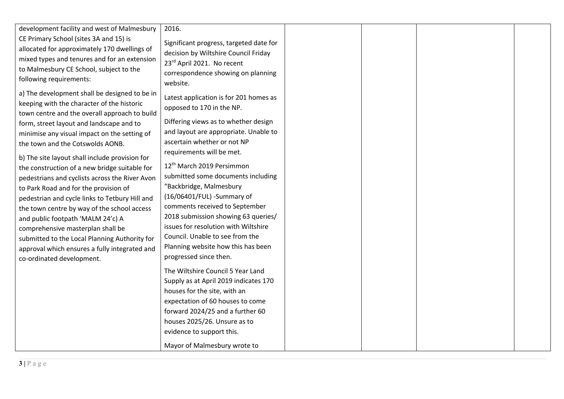| development facility and west of Malmesbury                                                                                                                                                                                                                                    | 2016.                                                                                                                                                           |  |  |
|--------------------------------------------------------------------------------------------------------------------------------------------------------------------------------------------------------------------------------------------------------------------------------|-----------------------------------------------------------------------------------------------------------------------------------------------------------------|--|--|
| CE Primary School (sites 3A and 15) is<br>allocated for approximately 170 dwellings of<br>mixed types and tenures and for an extension<br>to Malmesbury CE School, subject to the<br>following requirements:                                                                   | Significant progress, targeted date for<br>decision by Wiltshire Council Friday<br>23rd April 2021. No recent<br>correspondence showing on planning<br>website. |  |  |
| a) The development shall be designed to be in<br>keeping with the character of the historic<br>town centre and the overall approach to build<br>form, street layout and landscape and to                                                                                       | Latest application is for 201 homes as<br>opposed to 170 in the NP.<br>Differing views as to whether design                                                     |  |  |
| minimise any visual impact on the setting of<br>the town and the Cotswolds AONB.<br>b) The site layout shall include provision for<br>the construction of a new bridge suitable for<br>pedestrians and cyclists across the River Avon<br>to Park Road and for the provision of | and layout are appropriate. Unable to<br>ascertain whether or not NP<br>requirements will be met.                                                               |  |  |
|                                                                                                                                                                                                                                                                                | 12 <sup>th</sup> March 2019 Persimmon<br>submitted some documents including<br>"Backbridge, Malmesbury                                                          |  |  |
| pedestrian and cycle links to Tetbury Hill and<br>the town centre by way of the school access<br>and public footpath 'MALM 24'c) A                                                                                                                                             | (16/06401/FUL) - Summary of<br>comments received to September<br>2018 submission showing 63 queries/<br>issues for resolution with Wiltshire                    |  |  |
| comprehensive masterplan shall be<br>submitted to the Local Planning Authority for<br>approval which ensures a fully integrated and<br>co-ordinated development.                                                                                                               | Council. Unable to see from the<br>Planning website how this has been<br>progressed since then.                                                                 |  |  |
|                                                                                                                                                                                                                                                                                | The Wiltshire Council 5 Year Land<br>Supply as at April 2019 indicates 170<br>houses for the site, with an                                                      |  |  |
|                                                                                                                                                                                                                                                                                | expectation of 60 houses to come<br>forward 2024/25 and a further 60<br>houses 2025/26. Unsure as to                                                            |  |  |
|                                                                                                                                                                                                                                                                                | evidence to support this.<br>Mayor of Malmesbury wrote to                                                                                                       |  |  |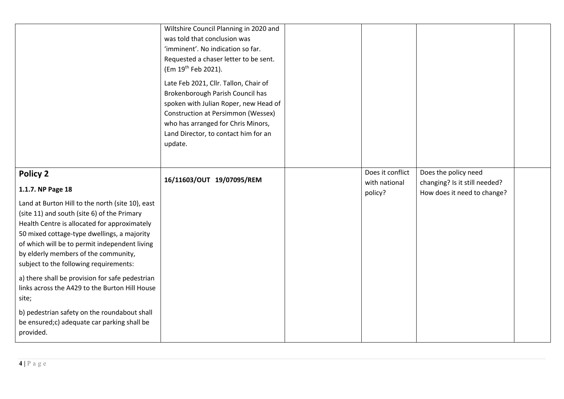|                                                                                                                                                                                                                                                                                                                                   | Wiltshire Council Planning in 2020 and<br>was told that conclusion was<br>'imminent'. No indication so far.<br>Requested a chaser letter to be sent.<br>(Em 19th Feb 2021).<br>Late Feb 2021, Cllr. Tallon, Chair of<br>Brokenborough Parish Council has<br>spoken with Julian Roper, new Head of<br><b>Construction at Persimmon (Wessex)</b><br>who has arranged for Chris Minors,<br>Land Director, to contact him for an<br>update. |                                   |                                                       |  |
|-----------------------------------------------------------------------------------------------------------------------------------------------------------------------------------------------------------------------------------------------------------------------------------------------------------------------------------|-----------------------------------------------------------------------------------------------------------------------------------------------------------------------------------------------------------------------------------------------------------------------------------------------------------------------------------------------------------------------------------------------------------------------------------------|-----------------------------------|-------------------------------------------------------|--|
|                                                                                                                                                                                                                                                                                                                                   |                                                                                                                                                                                                                                                                                                                                                                                                                                         |                                   |                                                       |  |
| <b>Policy 2</b>                                                                                                                                                                                                                                                                                                                   | 16/11603/OUT 19/07095/REM                                                                                                                                                                                                                                                                                                                                                                                                               | Does it conflict<br>with national | Does the policy need<br>changing? Is it still needed? |  |
| 1.1.7. NP Page 18                                                                                                                                                                                                                                                                                                                 |                                                                                                                                                                                                                                                                                                                                                                                                                                         | policy?                           | How does it need to change?                           |  |
| Land at Burton Hill to the north (site 10), east<br>(site 11) and south (site 6) of the Primary<br>Health Centre is allocated for approximately<br>50 mixed cottage-type dwellings, a majority<br>of which will be to permit independent living<br>by elderly members of the community,<br>subject to the following requirements: |                                                                                                                                                                                                                                                                                                                                                                                                                                         |                                   |                                                       |  |
| a) there shall be provision for safe pedestrian<br>links across the A429 to the Burton Hill House<br>site;                                                                                                                                                                                                                        |                                                                                                                                                                                                                                                                                                                                                                                                                                         |                                   |                                                       |  |
| b) pedestrian safety on the roundabout shall<br>be ensured;c) adequate car parking shall be<br>provided.                                                                                                                                                                                                                          |                                                                                                                                                                                                                                                                                                                                                                                                                                         |                                   |                                                       |  |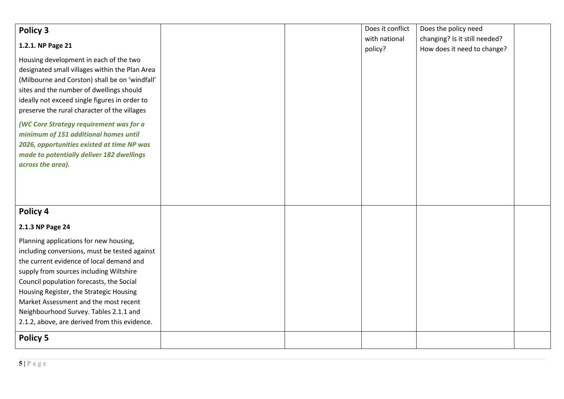| Policy 3<br>1.2.1. NP Page 21<br>Housing development in each of the two<br>designated small villages within the Plan Area<br>(Milbourne and Corston) shall be on 'windfall'<br>sites and the number of dwellings should<br>ideally not exceed single figures in order to<br>preserve the rural character of the villages<br>(WC Core Strategy requirement was for a                                       |  | Does it conflict<br>with national<br>policy? | Does the policy need<br>changing? Is it still needed?<br>How does it need to change? |  |
|-----------------------------------------------------------------------------------------------------------------------------------------------------------------------------------------------------------------------------------------------------------------------------------------------------------------------------------------------------------------------------------------------------------|--|----------------------------------------------|--------------------------------------------------------------------------------------|--|
| minimum of 151 additional homes until<br>2026, opportunities existed at time NP was<br>made to potentially deliver 182 dwellings<br>across the area).                                                                                                                                                                                                                                                     |  |                                              |                                                                                      |  |
| Policy 4<br>2.1.3 NP Page 24                                                                                                                                                                                                                                                                                                                                                                              |  |                                              |                                                                                      |  |
| Planning applications for new housing,<br>including conversions, must be tested against<br>the current evidence of local demand and<br>supply from sources including Wiltshire<br>Council population forecasts, the Social<br>Housing Register, the Strategic Housing<br>Market Assessment and the most recent<br>Neighbourhood Survey. Tables 2.1.1 and<br>2.1.2, above, are derived from this evidence. |  |                                              |                                                                                      |  |
| <b>Policy 5</b>                                                                                                                                                                                                                                                                                                                                                                                           |  |                                              |                                                                                      |  |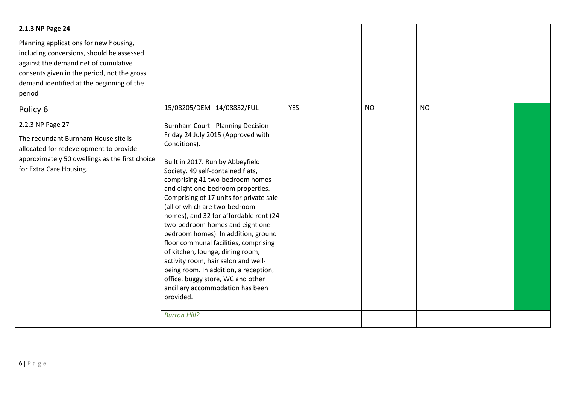| 2.1.3 NP Page 24<br>Planning applications for new housing,<br>including conversions, should be assessed<br>against the demand net of cumulative<br>consents given in the period, not the gross<br>demand identified at the beginning of the<br>period |                                                                                                                                                                                                                                                                                                                                                                                                                                                                                                                                                                                                                                                                                                                                                    |            |           |           |  |
|-------------------------------------------------------------------------------------------------------------------------------------------------------------------------------------------------------------------------------------------------------|----------------------------------------------------------------------------------------------------------------------------------------------------------------------------------------------------------------------------------------------------------------------------------------------------------------------------------------------------------------------------------------------------------------------------------------------------------------------------------------------------------------------------------------------------------------------------------------------------------------------------------------------------------------------------------------------------------------------------------------------------|------------|-----------|-----------|--|
| Policy 6<br>2.2.3 NP Page 27<br>The redundant Burnham House site is<br>allocated for redevelopment to provide<br>approximately 50 dwellings as the first choice<br>for Extra Care Housing.                                                            | 15/08205/DEM 14/08832/FUL<br>Burnham Court - Planning Decision -<br>Friday 24 July 2015 (Approved with<br>Conditions).<br>Built in 2017. Run by Abbeyfield<br>Society. 49 self-contained flats,<br>comprising 41 two-bedroom homes<br>and eight one-bedroom properties.<br>Comprising of 17 units for private sale<br>(all of which are two-bedroom<br>homes), and 32 for affordable rent (24<br>two-bedroom homes and eight one-<br>bedroom homes). In addition, ground<br>floor communal facilities, comprising<br>of kitchen, lounge, dining room,<br>activity room, hair salon and well-<br>being room. In addition, a reception,<br>office, buggy store, WC and other<br>ancillary accommodation has been<br>provided.<br><b>Burton Hill?</b> | <b>YES</b> | <b>NO</b> | <b>NO</b> |  |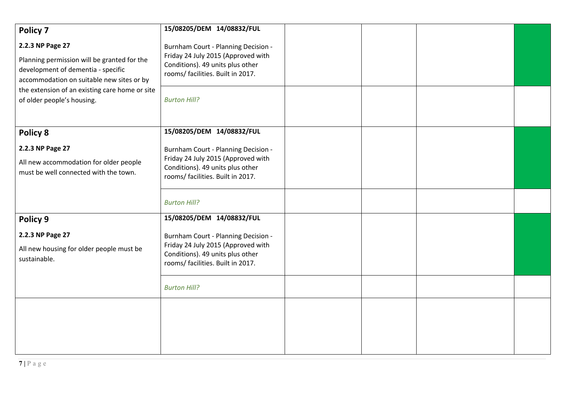| Policy 7                                                                                                                                           | 15/08205/DEM 14/08832/FUL                                                                                                                                 |  |  |
|----------------------------------------------------------------------------------------------------------------------------------------------------|-----------------------------------------------------------------------------------------------------------------------------------------------------------|--|--|
| 2.2.3 NP Page 27<br>Planning permission will be granted for the<br>development of dementia - specific<br>accommodation on suitable new sites or by | Burnham Court - Planning Decision -<br>Friday 24 July 2015 (Approved with<br>Conditions). 49 units plus other<br>rooms/ facilities. Built in 2017.        |  |  |
| the extension of an existing care home or site<br>of older people's housing.                                                                       | <b>Burton Hill?</b>                                                                                                                                       |  |  |
| Policy 8                                                                                                                                           | 15/08205/DEM 14/08832/FUL                                                                                                                                 |  |  |
| 2.2.3 NP Page 27<br>All new accommodation for older people<br>must be well connected with the town.                                                | Burnham Court - Planning Decision -<br>Friday 24 July 2015 (Approved with<br>Conditions). 49 units plus other<br>rooms/ facilities. Built in 2017.        |  |  |
|                                                                                                                                                    | <b>Burton Hill?</b>                                                                                                                                       |  |  |
| Policy 9                                                                                                                                           | 15/08205/DEM 14/08832/FUL                                                                                                                                 |  |  |
| 2.2.3 NP Page 27<br>All new housing for older people must be<br>sustainable.                                                                       | <b>Burnham Court - Planning Decision -</b><br>Friday 24 July 2015 (Approved with<br>Conditions). 49 units plus other<br>rooms/ facilities. Built in 2017. |  |  |
|                                                                                                                                                    | <b>Burton Hill?</b>                                                                                                                                       |  |  |
|                                                                                                                                                    |                                                                                                                                                           |  |  |